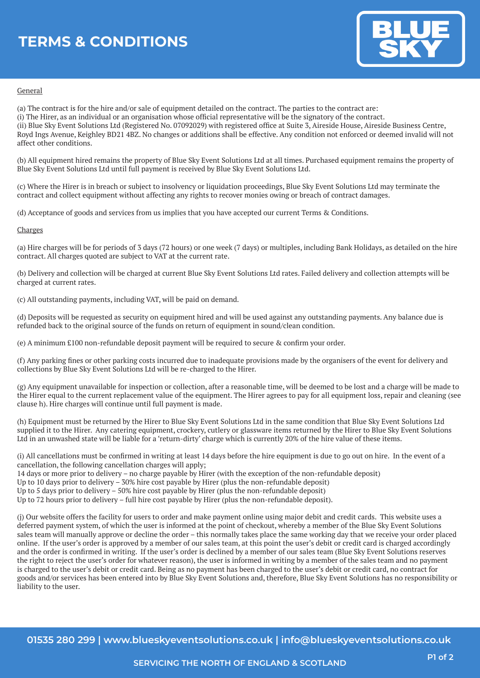# **TERMS & CONDITIONS**



### General

(a) The contract is for the hire and/or sale of equipment detailed on the contract. The parties to the contract are: (i) The Hirer, as an individual or an organisation whose official representative will be the signatory of the contract. (ii) Blue Sky Event Solutions Ltd (Registered No. 07092029) with registered office at Suite 3, Aireside House, Aireside Business Centre, Royd Ings Avenue, Keighley BD21 4BZ. No changes or additions shall be effective. Any condition not enforced or deemed invalid will not affect other conditions.

(b) All equipment hired remains the property of Blue Sky Event Solutions Ltd at all times. Purchased equipment remains the property of Blue Sky Event Solutions Ltd until full payment is received by Blue Sky Event Solutions Ltd.

(c) Where the Hirer is in breach or subject to insolvency or liquidation proceedings, Blue Sky Event Solutions Ltd may terminate the contract and collect equipment without affecting any rights to recover monies owing or breach of contract damages.

(d) Acceptance of goods and services from us implies that you have accepted our current Terms & Conditions.

### Charges

(a) Hire charges will be for periods of 3 days (72 hours) or one week (7 days) or multiples, including Bank Holidays, as detailed on the hire contract. All charges quoted are subject to VAT at the current rate.

(b) Delivery and collection will be charged at current Blue Sky Event Solutions Ltd rates. Failed delivery and collection attempts will be charged at current rates.

(c) All outstanding payments, including VAT, will be paid on demand.

(d) Deposits will be requested as security on equipment hired and will be used against any outstanding payments. Any balance due is refunded back to the original source of the funds on return of equipment in sound/clean condition.

(e) A minimum £100 non-refundable deposit payment will be required to secure & confirm your order.

(f) Any parking fines or other parking costs incurred due to inadequate provisions made by the organisers of the event for delivery and collections by Blue Sky Event Solutions Ltd will be re-charged to the Hirer.

(g) Any equipment unavailable for inspection or collection, after a reasonable time, will be deemed to be lost and a charge will be made to the Hirer equal to the current replacement value of the equipment. The Hirer agrees to pay for all equipment loss, repair and cleaning (see clause h). Hire charges will continue until full payment is made.

(h) Equipment must be returned by the Hirer to Blue Sky Event Solutions Ltd in the same condition that Blue Sky Event Solutions Ltd supplied it to the Hirer. Any catering equipment, crockery, cutlery or glassware items returned by the Hirer to Blue Sky Event Solutions Ltd in an unwashed state will be liable for a 'return-dirty' charge which is currently 20% of the hire value of these items.

(i) All cancellations must be confirmed in writing at least 14 days before the hire equipment is due to go out on hire. In the event of a cancellation, the following cancellation charges will apply;

14 days or more prior to delivery – no charge payable by Hirer (with the exception of the non-refundable deposit)

Up to 10 days prior to delivery – 30% hire cost payable by Hirer (plus the non-refundable deposit)

Up to 5 days prior to delivery – 50% hire cost payable by Hirer (plus the non-refundable deposit)

Up to 72 hours prior to delivery – full hire cost payable by Hirer (plus the non-refundable deposit).

(j) Our website offers the facility for users to order and make payment online using major debit and credit cards. This website uses a deferred payment system, of which the user is informed at the point of checkout, whereby a member of the Blue Sky Event Solutions sales team will manually approve or decline the order – this normally takes place the same working day that we receive your order placed online. If the user's order is approved by a member of our sales team, at this point the user's debit or credit card is charged accordingly and the order is confirmed in writing. If the user's order is declined by a member of our sales team (Blue Sky Event Solutions reserves the right to reject the user's order for whatever reason), the user is informed in writing by a member of the sales team and no payment is charged to the user's debit or credit card. Being as no payment has been charged to the user's debit or credit card, no contract for goods and/or services has been entered into by Blue Sky Event Solutions and, therefore, Blue Sky Event Solutions has no responsibility or liability to the user.

**01535 280 299 | www.blueskyeventsolutions.co.uk | info@blueskyeventsolutions.co.uk**